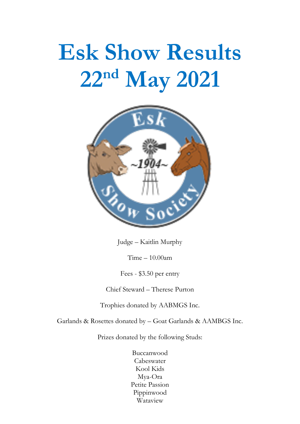# **Esk Show Results** 22nd May 2021



Judge – Kaitlin Murphy

Time – 10.00am

Fees - \$3.50 per entry

Chief Steward – Therese Purton

Trophies donated by AABMGS Inc.

Garlands & Rosettes donated by – Goat Garlands & AAMBGS Inc.

Prizes donated by the following Studs:

Buccanwood Cabeswater Kool Kids Mya-Ora Petite Passion Pippinwood Wataview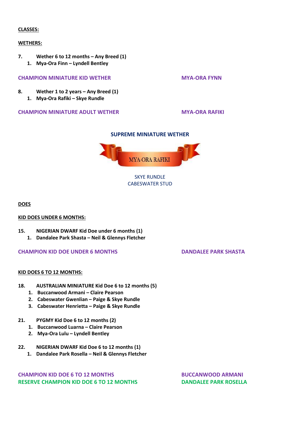#### **CLASSES:**

#### **WETHERS:**

- **7. Wether 6 to 12 months – Any Breed (1)**
	- **1. Mya-Ora Finn – Lyndell Bentley**

### **CHAMPION MINIATURE KID WETHER <b>MYA-ORA FYNN**

- **8. Wether 1 to 2 years – Any Breed (1)**
	- **1. Mya-Ora Rafiki – Skye Rundle**

#### **CHAMPION MINIATURE ADULT WETHER <b>MYA-ORA RAFIKI**

## **SUPREME MINIATURE WETHER**



CABESWATER STUD

**DOES**

#### **KID DOES UNDER 6 MONTHS:**

- **15. NIGERIAN DWARF Kid Doe under 6 months (1)**
	- **1. Dandalee Park Shasta – Neil & Glennys Fletcher**

#### **CHAMPION KID DOE UNDER 6 MONTHS DANDALEE PARK SHASTA**

#### **KID DOES 6 TO 12 MONTHS:**

- **18. AUSTRALIAN MINIATURE Kid Doe 6 to 12 months (5)**
	- **1. Buccanwood Armani – Claire Pearson**
	- **2. Cabeswater Gwenlian – Paige & Skye Rundle**
	- **3. Cabeswater Henrietta – Paige & Skye Rundle**
- **21. PYGMY Kid Doe 6 to 12 months (2)**
	- **1. Buccanwood Luarna – Claire Pearson**
	- **2. Mya-Ora Lulu – Lyndell Bentley**
- **22. NIGERIAN DWARF Kid Doe 6 to 12 months (1)**
	- **1. Dandalee Park Rosella – Neil & Glennys Fletcher**

**CHAMPION KID DOE 6 TO 12 MONTHS BUCCANWOOD ARMANI RESERVE CHAMPION KID DOE 6 TO 12 MONTHS DANDALEE PARK ROSELLA**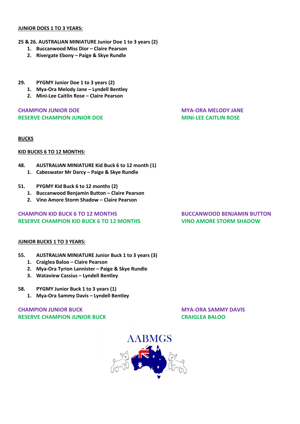#### **JUNIOR DOES 1 TO 3 YEARS:**

#### **25 & 26. AUSTRALIAN MINIATURE Junior Doe 1 to 3 years (2)**

- **1. Buccanwood Miss Dior – Claire Pearson**
- **2. Rivergate Ebony – Paige & Skye Rundle**
- **29. PYGMY Junior Doe 1 to 3 years (2)**
	- **1. Mya-Ora Melody Jane – Lyndell Bentley**
	- **2. Mini-Lee Caitlin Rose – Claire Pearson**

## **CHAMPION JUNIOR DOE MYA-ORA MELODY JANE RESERVE CHAMPION JUNIOR DOE MINI-LEE CAITLIN ROSE**

### **BUCKS**

### **KID BUCKS 6 TO 12 MONTHS:**

### **48. AUSTRALIAN MINIATURE Kid Buck 6 to 12 month (1)**

- 1. **Cabeswater Mr Darcy Paige & Skye Rundle**
- **51. PYGMY Kid Buck 6 to 12 months (2)**
	- **1. Buccanwood Benjamin Button – Claire Pearson**
	- **2. Vino Amore Storm Shadow – Claire Pearson**

# **CHAMPION KID BUCK 6 TO 12 MONTHS BUCCANWOOD BENJAMIN BUTTON RESERVE CHAMPION KID BUCK 6 TO 12 MONTHS VINO AMORE STORM SHADOW**

## **JUNIOR BUCKS 1 TO 3 YEARS:**

- **55. AUSTRALIAN MINIATURE Junior Buck 1 to 3 years (3)**
	- **1. Craiglea Baloo – Claire Pearson**
	- **2. Mya-Ora Tyrion Lannister – Paige & Skye Rundle**
	- **3. Wataview Cassius – Lyndell Bentley**

#### **58. PYGMY Junior Buck 1 to 3 years (1)**

**1. Mya-Ora Sammy Davis – Lyndell Bentley**

# **CHAMPION JUNIOR BUCK AND CHAMPION JUNIOR BUCK RESERVE CHAMPION JUNIOR BUCK CRAIGLEA BALOO**